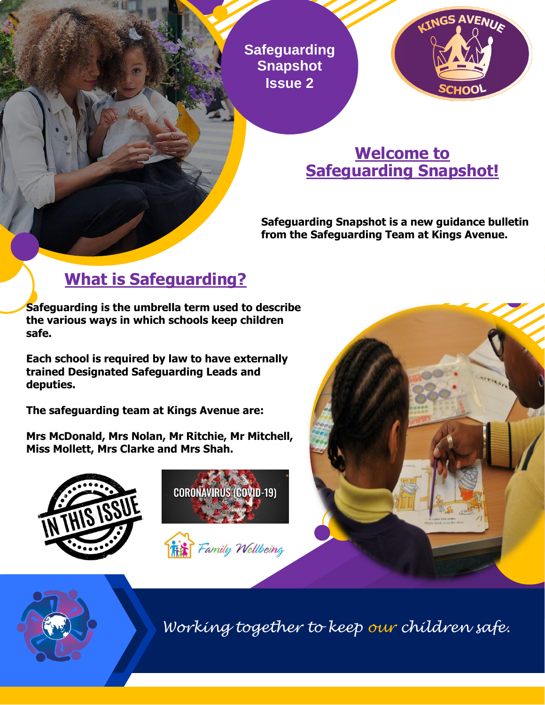**Safeguarding Snapshot Issue 2**



## **Welcome to Safeguarding Snapshot!**

**Safeguarding Snapshot is a new guidance bulletin from the Safeguarding Team at Kings Avenue.**

# **What is Safeguarding?**

**Safeguarding is the umbrella term used to describe the various ways in which schools keep children safe.** 

**Each school is required by law to have externally trained Designated Safeguarding Leads and deputies.**

**The safeguarding team at Kings Avenue are:** 

**Mrs McDonald, Mrs Nolan, Mr Ritchie, Mr Mitchell, Miss Mollett, Mrs Clarke and Mrs Shah.** 









*Working together to keep our children safe.*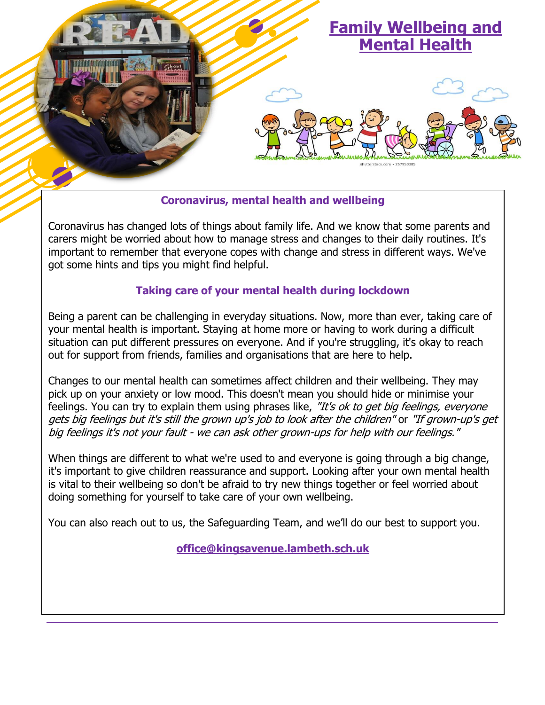

### **Coronavirus, mental health and wellbeing**

Coronavirus has changed lots of things about family life. And we know that some parents and carers might be worried about how to manage stress and changes to their daily routines. It's important to remember that everyone copes with change and stress in different ways. We've got some hints and tips you might find helpful.

#### **Taking care of your mental health during lockdown**

Being a parent can be challenging in everyday situations. Now, more than ever, taking care of your mental health is important. Staying at home more or having to work during a difficult situation can put different pressures on everyone. And if you're struggling, it's okay to reach out for support from friends, families and organisations that are here to help.

Changes to our mental health can sometimes affect children and their wellbeing. They may pick up on your anxiety or low mood. This doesn't mean you should hide or minimise your feelings. You can try to explain them using phrases like, "It's ok to get big feelings, everyone gets big feelings but it's still the grown up's job to look after the children" or "If grown-up's get big feelings it's not your fault - we can ask other grown-ups for help with our feelings."

When things are different to what we're used to and everyone is going through a big change, it's important to give children reassurance and support. Looking after your own mental health is vital to their wellbeing so don't be afraid to try new things together or feel worried about doing something for yourself to take care of your own wellbeing.

You can also reach out to us, the Safeguarding Team, and we'll do our best to support you.

**[office@kingsavenue.lambeth.sch.uk](mailto:office@kingsavenue.lambeth.sch.uk)**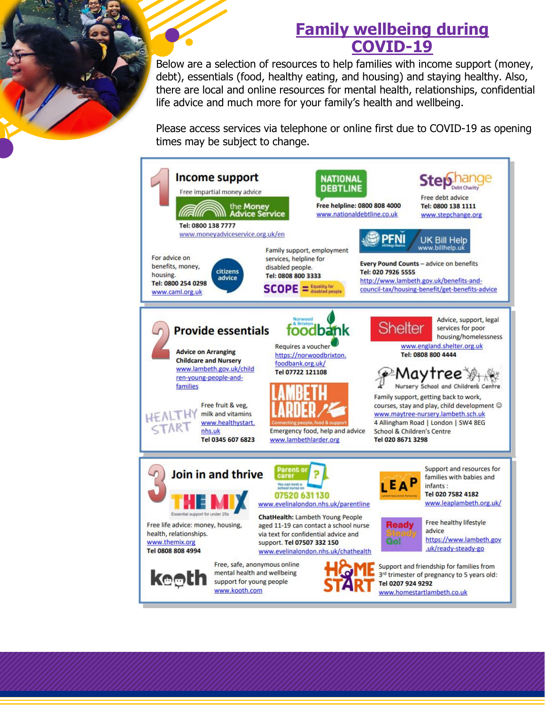## **Family wellbeing during COVID-19**

Below are a selection of resources to help families with income support (money, debt), essentials (food, healthy eating, and housing) and staying healthy. Also, there are local and online resources for mental health, relationships, confidential life advice and much more for your family's health and wellbeing.

Please access services via telephone or online first due to COVID-19 as opening times may be subject to change.